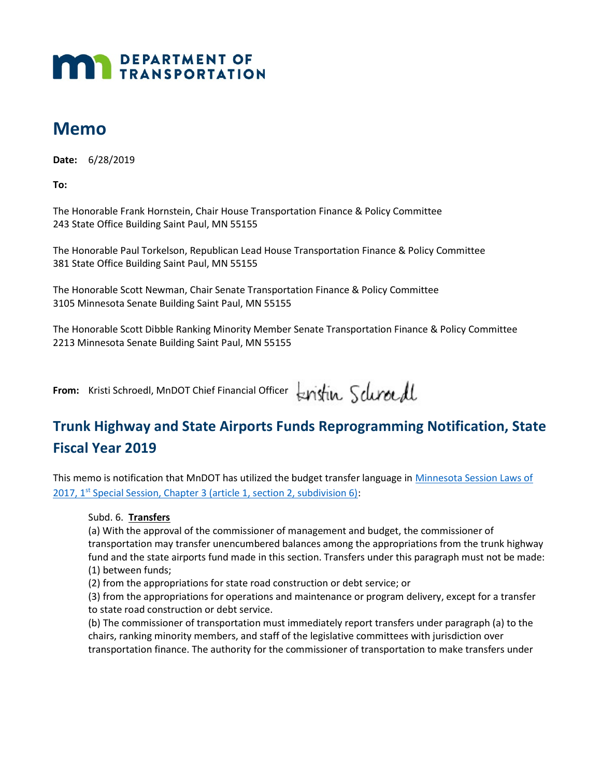# **MAY DEPARTMENT OF TRANSPORTATION**

## Memo

Date: 6/28/2019

To:

 The Honorable Frank Hornstein, Chair House Transportation Finance & Policy Committee 243 State Office Building Saint Paul, MN 55155

 The Honorable Paul Torkelson, Republican Lead House Transportation Finance & Policy Committee 381 State Office Building Saint Paul, MN 55155

 The Honorable Scott Newman, Chair Senate Transportation Finance & Policy Committee 3105 Minnesota Senate Building Saint Paul, MN 55155

 The Honorable Scott Dibble Ranking Minority Member Senate Transportation Finance & Policy Committee 2213 Minnesota Senate Building Saint Paul, MN 55155

From: Kristi Schroedl, MnDOT Chief Financial Officer

### Trunk Highway and State Airports Funds Reprogramming Notification, State Fiscal Year 2019

This memo is notification that MnDOT has utilized the budget transfer language in *Minnesota Session Laws of* 2017, 1<sup>st</sup> Special Session, Chapter 3 (article 1, section 2, subdivision 6):

#### Subd. 6. Transfers

 (a) With the approval of the commissioner of management and budget, the commissioner of transportation may transfer unencumbered balances among the appropriations from the trunk highway fund and the state airports fund made in this section. Transfers under this paragraph must not be made: (1) between funds;

(2) from the appropriations for state road construction or debt service; or

 (3) from the appropriations for operations and maintenance or program delivery, except for a transfer to state road construction or debt service.

 (b) The commissioner of transportation must immediately report transfers under paragraph (a) to the chairs, ranking minority members, and staff of the legislative committees with jurisdiction over transportation finance. The authority for the commissioner of transportation to make transfers under